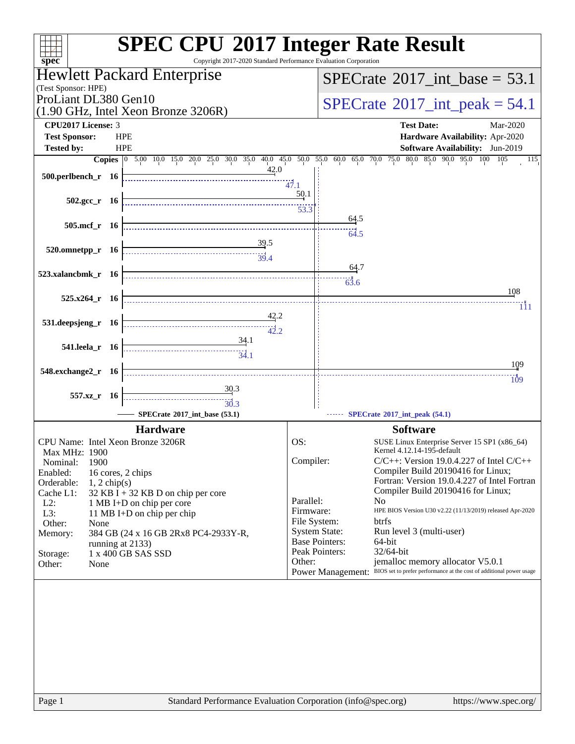| Copyright 2017-2020 Standard Performance Evaluation Corporation<br>$spec^*$                                                                                                                                                                                                                                                                                                                                                                                                             | <b>SPEC CPU®2017 Integer Rate Result</b>                                                                               |
|-----------------------------------------------------------------------------------------------------------------------------------------------------------------------------------------------------------------------------------------------------------------------------------------------------------------------------------------------------------------------------------------------------------------------------------------------------------------------------------------|------------------------------------------------------------------------------------------------------------------------|
| Hewlett Packard Enterprise<br>(Test Sponsor: HPE)                                                                                                                                                                                                                                                                                                                                                                                                                                       | $SPECTate$ <sup>®</sup> 2017_int_base = 53.1                                                                           |
| ProLiant DL380 Gen10<br>$(1.90 \text{ GHz}, \text{Intel Xeon Bronze } 3206\text{R})$                                                                                                                                                                                                                                                                                                                                                                                                    | $SPECTate^{\circ}2017$ _int_peak = 54.1                                                                                |
| CPU2017 License: 3                                                                                                                                                                                                                                                                                                                                                                                                                                                                      | <b>Test Date:</b><br>Mar-2020                                                                                          |
| <b>Test Sponsor:</b><br><b>HPE</b>                                                                                                                                                                                                                                                                                                                                                                                                                                                      | Hardware Availability: Apr-2020                                                                                        |
| <b>Tested by:</b><br><b>HPE</b>                                                                                                                                                                                                                                                                                                                                                                                                                                                         | Software Availability: Jun-2019                                                                                        |
|                                                                                                                                                                                                                                                                                                                                                                                                                                                                                         | Copies 0 5.00 10.0 15.0 20.0 25.0 30.0 35.0 40.0 45.0 50.0 55.0 60.0 65.0 70.0 75.0 80.0 85.0 90.0 95.0 100 105<br>115 |
| 42.0<br>500.perlbench_r 16                                                                                                                                                                                                                                                                                                                                                                                                                                                              |                                                                                                                        |
|                                                                                                                                                                                                                                                                                                                                                                                                                                                                                         | 47.1                                                                                                                   |
| $502.\text{gcc r}$ 16                                                                                                                                                                                                                                                                                                                                                                                                                                                                   | 50.1                                                                                                                   |
|                                                                                                                                                                                                                                                                                                                                                                                                                                                                                         | 53.3<br>64.5                                                                                                           |
| 505.mcf_r 16                                                                                                                                                                                                                                                                                                                                                                                                                                                                            | 64.5                                                                                                                   |
|                                                                                                                                                                                                                                                                                                                                                                                                                                                                                         |                                                                                                                        |
| $\begin{array}{c}\n 39.5 \\ \hline\n 39.4\n \end{array}$<br>520.omnetpp_r 16                                                                                                                                                                                                                                                                                                                                                                                                            |                                                                                                                        |
|                                                                                                                                                                                                                                                                                                                                                                                                                                                                                         | 64.7                                                                                                                   |
| 523.xalancbmk_r 16                                                                                                                                                                                                                                                                                                                                                                                                                                                                      | 63.6                                                                                                                   |
|                                                                                                                                                                                                                                                                                                                                                                                                                                                                                         | 108                                                                                                                    |
| $525.x264_r$ 16                                                                                                                                                                                                                                                                                                                                                                                                                                                                         | Th                                                                                                                     |
| 42.2                                                                                                                                                                                                                                                                                                                                                                                                                                                                                    |                                                                                                                        |
| 531.deepsjeng_r 16                                                                                                                                                                                                                                                                                                                                                                                                                                                                      |                                                                                                                        |
| $\frac{34.1}{2}$<br>541.leela_r 16                                                                                                                                                                                                                                                                                                                                                                                                                                                      |                                                                                                                        |
| $\begin{array}{c}\n\phantom{\overbrace{\phantom{\mathcal{L}_{1}}}\n\phantom{\mathcal{L}_{2}}\n\phantom{\mathcal{L}_{3}}\n\phantom{\mathcal{L}_{4}}\n\phantom{\mathcal{L}_{5}}\n\phantom{\mathcal{L}_{6}}\n\phantom{\mathcal{L}_{7}}\n\phantom{\mathcal{L}_{8}}\n\phantom{\mathcal{L}_{9}}\n\phantom{\mathcal{L}_{9}}\n\phantom{\mathcal{L}_{9}}\n\phantom{\mathcal{L}_{9}}\n\phantom{\mathcal{L}_{1}}\n\phantom{\mathcal{L}_{1}}\n\phantom{\mathcal{L}_{1}}\n\phantom{\mathcal{L}_{1}}$ |                                                                                                                        |
| 548.exchange2_r 16                                                                                                                                                                                                                                                                                                                                                                                                                                                                      | 109                                                                                                                    |
|                                                                                                                                                                                                                                                                                                                                                                                                                                                                                         | 109                                                                                                                    |
| 30.3<br>557.xz_r 16                                                                                                                                                                                                                                                                                                                                                                                                                                                                     |                                                                                                                        |
|                                                                                                                                                                                                                                                                                                                                                                                                                                                                                         |                                                                                                                        |
| SPECrate®2017_int_base (53.1)                                                                                                                                                                                                                                                                                                                                                                                                                                                           | SPECrate*2017_int_peak (54.1)                                                                                          |
| <b>Hardware</b>                                                                                                                                                                                                                                                                                                                                                                                                                                                                         | <b>Software</b>                                                                                                        |
| CPU Name: Intel Xeon Bronze 3206R<br>Max MHz: 1900                                                                                                                                                                                                                                                                                                                                                                                                                                      | OS:<br>SUSE Linux Enterprise Server 15 SP1 (x86_64)<br>Kernel 4.12.14-195-default                                      |
| 1900<br>Nominal:                                                                                                                                                                                                                                                                                                                                                                                                                                                                        | Compiler:<br>$C/C++$ : Version 19.0.4.227 of Intel $C/C++$                                                             |
| Enabled:<br>16 cores, 2 chips                                                                                                                                                                                                                                                                                                                                                                                                                                                           | Compiler Build 20190416 for Linux;                                                                                     |
| Orderable:<br>$1, 2$ chip(s)                                                                                                                                                                                                                                                                                                                                                                                                                                                            | Fortran: Version 19.0.4.227 of Intel Fortran<br>Compiler Build 20190416 for Linux;                                     |
| Cache L1:<br>$32$ KB I + 32 KB D on chip per core<br>$L2$ :<br>1 MB I+D on chip per core                                                                                                                                                                                                                                                                                                                                                                                                | Parallel:<br>N <sub>0</sub>                                                                                            |
| L3:<br>11 MB I+D on chip per chip                                                                                                                                                                                                                                                                                                                                                                                                                                                       | HPE BIOS Version U30 v2.22 (11/13/2019) released Apr-2020<br>Firmware:                                                 |
| Other:<br>None                                                                                                                                                                                                                                                                                                                                                                                                                                                                          | File System:<br>btrfs                                                                                                  |
| 384 GB (24 x 16 GB 2Rx8 PC4-2933Y-R,<br>Memory:                                                                                                                                                                                                                                                                                                                                                                                                                                         | <b>System State:</b><br>Run level 3 (multi-user)                                                                       |
| running at 2133)<br>1 x 400 GB SAS SSD<br>Storage:                                                                                                                                                                                                                                                                                                                                                                                                                                      | <b>Base Pointers:</b><br>64-bit<br>Peak Pointers:<br>32/64-bit                                                         |
| Other:<br>None                                                                                                                                                                                                                                                                                                                                                                                                                                                                          | Other:<br>jemalloc memory allocator V5.0.1                                                                             |
|                                                                                                                                                                                                                                                                                                                                                                                                                                                                                         | Power Management: BIOS set to prefer performance at the cost of additional power usage                                 |
|                                                                                                                                                                                                                                                                                                                                                                                                                                                                                         |                                                                                                                        |
|                                                                                                                                                                                                                                                                                                                                                                                                                                                                                         |                                                                                                                        |
|                                                                                                                                                                                                                                                                                                                                                                                                                                                                                         |                                                                                                                        |
|                                                                                                                                                                                                                                                                                                                                                                                                                                                                                         |                                                                                                                        |
|                                                                                                                                                                                                                                                                                                                                                                                                                                                                                         |                                                                                                                        |
|                                                                                                                                                                                                                                                                                                                                                                                                                                                                                         |                                                                                                                        |
|                                                                                                                                                                                                                                                                                                                                                                                                                                                                                         |                                                                                                                        |
|                                                                                                                                                                                                                                                                                                                                                                                                                                                                                         |                                                                                                                        |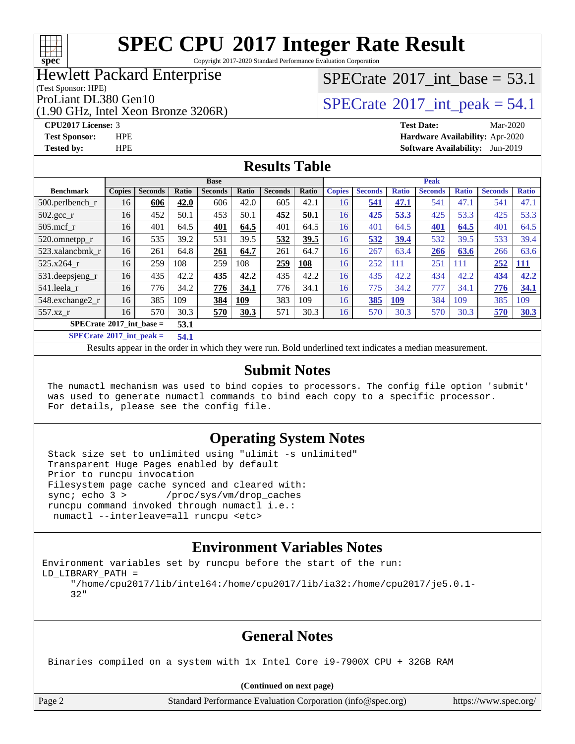

Copyright 2017-2020 Standard Performance Evaluation Corporation

### Hewlett Packard Enterprise

(Test Sponsor: HPE)

(1.90 GHz, Intel Xeon Bronze 3206R)

[SPECrate](http://www.spec.org/auto/cpu2017/Docs/result-fields.html#SPECrate2017intbase)®2017 int\_base =  $53.1$ 

### ProLiant DL380 Gen10  $SPECTaE \rightarrow 206P$   $SPECTaE \cdot 2017$  int peak = 54.1

**[CPU2017 License:](http://www.spec.org/auto/cpu2017/Docs/result-fields.html#CPU2017License)** 3 **[Test Date:](http://www.spec.org/auto/cpu2017/Docs/result-fields.html#TestDate)** Mar-2020 **[Test Sponsor:](http://www.spec.org/auto/cpu2017/Docs/result-fields.html#TestSponsor)** HPE **[Hardware Availability:](http://www.spec.org/auto/cpu2017/Docs/result-fields.html#HardwareAvailability)** Apr-2020 **[Tested by:](http://www.spec.org/auto/cpu2017/Docs/result-fields.html#Testedby)** HPE **[Software Availability:](http://www.spec.org/auto/cpu2017/Docs/result-fields.html#SoftwareAvailability)** Jun-2019

#### **[Results Table](http://www.spec.org/auto/cpu2017/Docs/result-fields.html#ResultsTable)**

|                                       | <b>Base</b>                                |                |       |                | <b>Peak</b> |                |            |               |                |              |                |              |                |              |
|---------------------------------------|--------------------------------------------|----------------|-------|----------------|-------------|----------------|------------|---------------|----------------|--------------|----------------|--------------|----------------|--------------|
| <b>Benchmark</b>                      | <b>Copies</b>                              | <b>Seconds</b> | Ratio | <b>Seconds</b> | Ratio       | <b>Seconds</b> | Ratio      | <b>Copies</b> | <b>Seconds</b> | <b>Ratio</b> | <b>Seconds</b> | <b>Ratio</b> | <b>Seconds</b> | <b>Ratio</b> |
| $500.$ perlbench_r                    | 16                                         | 606            | 42.0  | 606            | 42.0        | 605            | 42.1       | 16            | 541            | 47.1         | 541            | 47.1         | 541            | 47.1         |
| $502.\text{gcc}_r$                    | 16                                         | 452            | 50.1  | 453            | 50.1        | 452            | 50.1       | 16            | 425            | 53.3         | 425            | 53.3         | 425            | 53.3         |
| $505$ .mcf r                          | 16                                         | 401            | 64.5  | 401            | 64.5        | 401            | 64.5       | 16            | 401            | 64.5         | 401            | 64.5         | 401            | 64.5         |
| 520.omnetpp_r                         | 16                                         | 535            | 39.2  | 531            | 39.5        | 532            | 39.5       | 16            | 532            | 39.4         | 532            | 39.5         | 533            | 39.4         |
| 523.xalancbmk r                       | 16                                         | 261            | 64.8  | 261            | 64.7        | 261            | 64.7       | 16            | 267            | 63.4         | 266            | 63.6         | 266            | 63.6         |
| 525.x264 r                            | 16                                         | 259            | 108   | 259            | 108         | 259            | <b>108</b> | 16            | 252            | 111          | 251            | 111          | 252            | <u>111</u>   |
| 531.deepsjeng_r                       | 16                                         | 435            | 42.2  | 435            | 42.2        | 435            | 42.2       | 16            | 435            | 42.2         | 434            | 42.2         | 434            | 42.2         |
| 541.leela r                           | 16                                         | 776            | 34.2  | 776            | 34.1        | 776            | 34.1       | 16            | 775            | 34.2         | 777            | 34.1         | 776            | 34.1         |
| 548.exchange2_r                       | 16                                         | 385            | 109   | 384            | 109         | 383            | 109        | 16            | <b>385</b>     | <u>109</u>   | 384            | 109          | 385            | 109          |
| 557.xz r                              | 16                                         | 570            | 30.3  | 570            | 30.3        | 571            | 30.3       | 16            | 570            | 30.3         | 570            | 30.3         | 570            | 30.3         |
| $SPECrate^*2017\_int\_base =$<br>53.1 |                                            |                |       |                |             |                |            |               |                |              |                |              |                |              |
|                                       | $CDDLO \rightarrow 0.047 \cdot 1$<br>- - - |                |       |                |             |                |            |               |                |              |                |              |                |              |

**[SPECrate](http://www.spec.org/auto/cpu2017/Docs/result-fields.html#SPECrate2017intpeak)[2017\\_int\\_peak =](http://www.spec.org/auto/cpu2017/Docs/result-fields.html#SPECrate2017intpeak) 54.1**

Results appear in the [order in which they were run.](http://www.spec.org/auto/cpu2017/Docs/result-fields.html#RunOrder) Bold underlined text [indicates a median measurement.](http://www.spec.org/auto/cpu2017/Docs/result-fields.html#Median)

#### **[Submit Notes](http://www.spec.org/auto/cpu2017/Docs/result-fields.html#SubmitNotes)**

 The numactl mechanism was used to bind copies to processors. The config file option 'submit' was used to generate numactl commands to bind each copy to a specific processor. For details, please see the config file.

#### **[Operating System Notes](http://www.spec.org/auto/cpu2017/Docs/result-fields.html#OperatingSystemNotes)**

 Stack size set to unlimited using "ulimit -s unlimited" Transparent Huge Pages enabled by default Prior to runcpu invocation Filesystem page cache synced and cleared with: sync; echo 3 > /proc/sys/vm/drop\_caches runcpu command invoked through numactl i.e.: numactl --interleave=all runcpu <etc>

#### **[Environment Variables Notes](http://www.spec.org/auto/cpu2017/Docs/result-fields.html#EnvironmentVariablesNotes)**

Environment variables set by runcpu before the start of the run: LD\_LIBRARY\_PATH = "/home/cpu2017/lib/intel64:/home/cpu2017/lib/ia32:/home/cpu2017/je5.0.1- 32"

### **[General Notes](http://www.spec.org/auto/cpu2017/Docs/result-fields.html#GeneralNotes)**

Binaries compiled on a system with 1x Intel Core i9-7900X CPU + 32GB RAM

**(Continued on next page)**

Page 2 Standard Performance Evaluation Corporation [\(info@spec.org\)](mailto:info@spec.org) <https://www.spec.org/>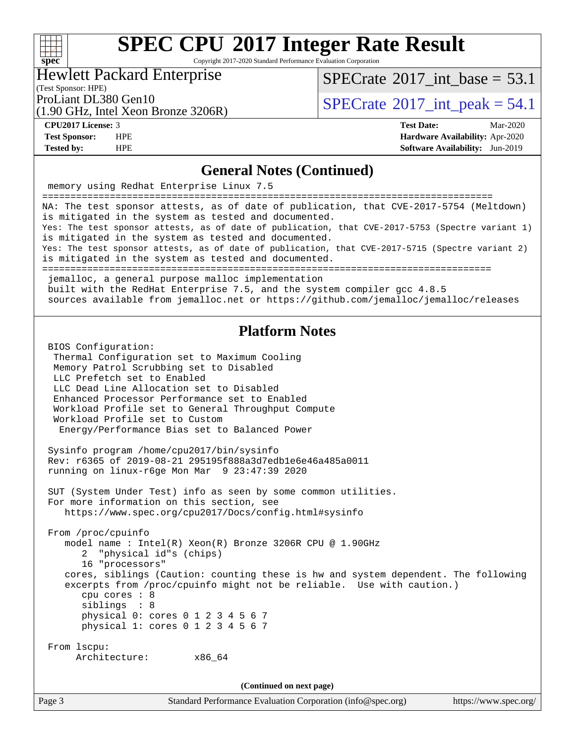Copyright 2017-2020 Standard Performance Evaluation Corporation

#### Hewlett Packard Enterprise

(Test Sponsor: HPE)

 $SPECTate$ <sup>®</sup>[2017\\_int\\_base =](http://www.spec.org/auto/cpu2017/Docs/result-fields.html#SPECrate2017intbase) 53.1

(1.90 GHz, Intel Xeon Bronze 3206R)

ProLiant DL380 Gen10<br>(1.90 GHz, Intel Xeon Bronze 3206R) [SPECrate](http://www.spec.org/auto/cpu2017/Docs/result-fields.html#SPECrate2017intpeak)<sup>®</sup>[2017\\_int\\_peak =](http://www.spec.org/auto/cpu2017/Docs/result-fields.html#SPECrate2017intpeak) 54.1

**[spec](http://www.spec.org/)**

 $\pm\pm\prime$ 

**[CPU2017 License:](http://www.spec.org/auto/cpu2017/Docs/result-fields.html#CPU2017License)** 3 **[Test Date:](http://www.spec.org/auto/cpu2017/Docs/result-fields.html#TestDate)** Mar-2020 **[Test Sponsor:](http://www.spec.org/auto/cpu2017/Docs/result-fields.html#TestSponsor)** HPE **[Hardware Availability:](http://www.spec.org/auto/cpu2017/Docs/result-fields.html#HardwareAvailability)** Apr-2020 **[Tested by:](http://www.spec.org/auto/cpu2017/Docs/result-fields.html#Testedby)** HPE **[Software Availability:](http://www.spec.org/auto/cpu2017/Docs/result-fields.html#SoftwareAvailability)** Jun-2019

#### **[General Notes \(Continued\)](http://www.spec.org/auto/cpu2017/Docs/result-fields.html#GeneralNotes)**

| $\sigma$ and $\mu$ , $\sigma$ and $\sigma$ , $\sigma$ and $\sigma$                                                                                                                                                                                                                                                                                                                                                                                                     |  |  |  |  |  |
|------------------------------------------------------------------------------------------------------------------------------------------------------------------------------------------------------------------------------------------------------------------------------------------------------------------------------------------------------------------------------------------------------------------------------------------------------------------------|--|--|--|--|--|
| memory using Redhat Enterprise Linux 7.5                                                                                                                                                                                                                                                                                                                                                                                                                               |  |  |  |  |  |
| NA: The test sponsor attests, as of date of publication, that CVE-2017-5754 (Meltdown)<br>is mitigated in the system as tested and documented.<br>Yes: The test sponsor attests, as of date of publication, that CVE-2017-5753 (Spectre variant 1)<br>is mitigated in the system as tested and documented.<br>Yes: The test sponsor attests, as of date of publication, that CVE-2017-5715 (Spectre variant 2)<br>is mitigated in the system as tested and documented. |  |  |  |  |  |
| jemalloc, a general purpose malloc implementation<br>built with the RedHat Enterprise 7.5, and the system compiler gcc 4.8.5<br>sources available from jemalloc.net or https://github.com/jemalloc/jemalloc/releases                                                                                                                                                                                                                                                   |  |  |  |  |  |
| <b>Platform Notes</b>                                                                                                                                                                                                                                                                                                                                                                                                                                                  |  |  |  |  |  |
| BIOS Configuration:<br>Thermal Configuration set to Maximum Cooling<br>Memory Patrol Scrubbing set to Disabled<br>LLC Prefetch set to Enabled<br>LLC Dead Line Allocation set to Disabled<br>Enhanced Processor Performance set to Enabled<br>Workload Profile set to General Throughput Compute<br>Workload Profile set to Custom<br>Energy/Performance Bias set to Balanced Power<br>Sysinfo program /home/cpu2017/bin/sysinfo                                       |  |  |  |  |  |
| Rev: r6365 of 2019-08-21 295195f888a3d7edble6e46a485a0011<br>running on linux-r6ge Mon Mar 9 23:47:39 2020                                                                                                                                                                                                                                                                                                                                                             |  |  |  |  |  |
| SUT (System Under Test) info as seen by some common utilities.<br>For more information on this section, see<br>https://www.spec.org/cpu2017/Docs/config.html#sysinfo                                                                                                                                                                                                                                                                                                   |  |  |  |  |  |
| From /proc/cpuinfo<br>model name : Intel(R) Xeon(R) Bronze 3206R CPU @ 1.90GHz<br>"physical id"s (chips)<br>2<br>16 "processors"<br>cores, siblings (Caution: counting these is hw and system dependent. The following<br>excerpts from /proc/cpuinfo might not be reliable. Use with caution.)<br>cpu cores : 8<br>siblings : 8<br>physical 0: cores 0 1 2 3 4 5 6 7<br>physical 1: cores 0 1 2 3 4 5 6 7                                                             |  |  |  |  |  |
| From lscpu:<br>Architecture:<br>x86_64                                                                                                                                                                                                                                                                                                                                                                                                                                 |  |  |  |  |  |
| (Continued on next page)                                                                                                                                                                                                                                                                                                                                                                                                                                               |  |  |  |  |  |
|                                                                                                                                                                                                                                                                                                                                                                                                                                                                        |  |  |  |  |  |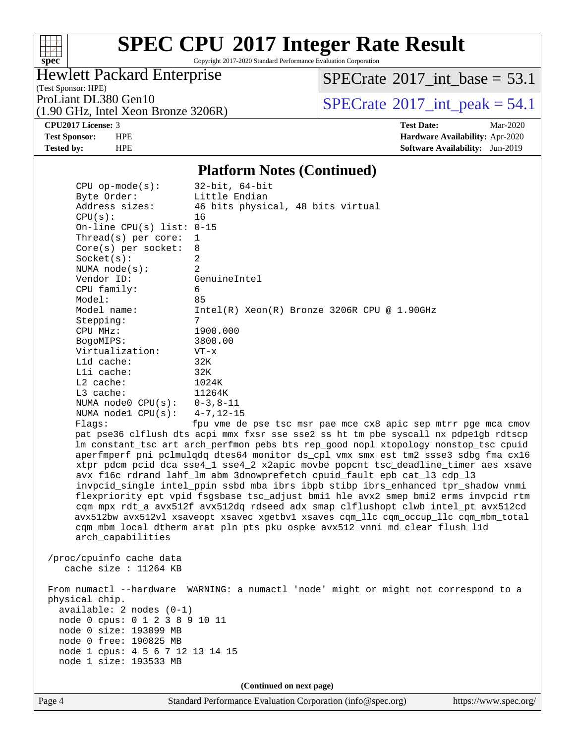

Copyright 2017-2020 Standard Performance Evaluation Corporation

#### Hewlett Packard Enterprise

(1.90 GHz, Intel Xeon Bronze 3206R)

[SPECrate](http://www.spec.org/auto/cpu2017/Docs/result-fields.html#SPECrate2017intbase)®2017 int\_base =  $53.1$ 

(Test Sponsor: HPE)

ProLiant DL380 Gen10<br>(1.00 GHz, Intel Year Proper 3206B) [SPECrate](http://www.spec.org/auto/cpu2017/Docs/result-fields.html#SPECrate2017intpeak)® 2017 int\_peak = 54.1

**[Tested by:](http://www.spec.org/auto/cpu2017/Docs/result-fields.html#Testedby)** HPE **[Software Availability:](http://www.spec.org/auto/cpu2017/Docs/result-fields.html#SoftwareAvailability)** Jun-2019

**[CPU2017 License:](http://www.spec.org/auto/cpu2017/Docs/result-fields.html#CPU2017License)** 3 **[Test Date:](http://www.spec.org/auto/cpu2017/Docs/result-fields.html#TestDate)** Mar-2020 **[Test Sponsor:](http://www.spec.org/auto/cpu2017/Docs/result-fields.html#TestSponsor)** HPE **[Hardware Availability:](http://www.spec.org/auto/cpu2017/Docs/result-fields.html#HardwareAvailability)** Apr-2020

#### **[Platform Notes \(Continued\)](http://www.spec.org/auto/cpu2017/Docs/result-fields.html#PlatformNotes)**

 CPU op-mode(s): 32-bit, 64-bit Byte Order: Little Endian Address sizes: 46 bits physical, 48 bits virtual CPU(s): 16 On-line CPU(s) list: 0-15 Thread(s) per core: 1 Core(s) per socket: 8 Socket(s): 2 NUMA node(s): 2 Vendor ID: GenuineIntel CPU family: 6 Model: 85 Model name: Intel(R) Xeon(R) Bronze 3206R CPU @ 1.90GHz Stepping: 7 CPU MHz: 1900.000 BogoMIPS: 3800.00 Virtualization: VT-x L1d cache: 32K L1i cache: 32K L2 cache: 1024K L3 cache: 11264K NUMA node0 CPU(s): 0-3,8-11 NUMA node1 CPU(s): 4-7,12-15 Flags: fpu vme de pse tsc msr pae mce cx8 apic sep mtrr pge mca cmov pat pse36 clflush dts acpi mmx fxsr sse sse2 ss ht tm pbe syscall nx pdpe1gb rdtscp lm constant\_tsc art arch\_perfmon pebs bts rep\_good nopl xtopology nonstop\_tsc cpuid aperfmperf pni pclmulqdq dtes64 monitor ds\_cpl vmx smx est tm2 ssse3 sdbg fma cx16 xtpr pdcm pcid dca sse4\_1 sse4\_2 x2apic movbe popcnt tsc\_deadline\_timer aes xsave avx f16c rdrand lahf\_lm abm 3dnowprefetch cpuid\_fault epb cat\_l3 cdp\_l3 invpcid\_single intel\_ppin ssbd mba ibrs ibpb stibp ibrs\_enhanced tpr\_shadow vnmi flexpriority ept vpid fsgsbase tsc\_adjust bmi1 hle avx2 smep bmi2 erms invpcid rtm cqm mpx rdt\_a avx512f avx512dq rdseed adx smap clflushopt clwb intel\_pt avx512cd avx512bw avx512vl xsaveopt xsavec xgetbv1 xsaves cqm\_llc cqm\_occup\_llc cqm\_mbm\_total cqm\_mbm\_local dtherm arat pln pts pku ospke avx512\_vnni md\_clear flush\_l1d arch\_capabilities /proc/cpuinfo cache data cache size : 11264 KB From numactl --hardware WARNING: a numactl 'node' might or might not correspond to a physical chip. available: 2 nodes (0-1) node 0 cpus: 0 1 2 3 8 9 10 11 node 0 size: 193099 MB node 0 free: 190825 MB node 1 cpus: 4 5 6 7 12 13 14 15 node 1 size: 193533 MB **(Continued on next page)**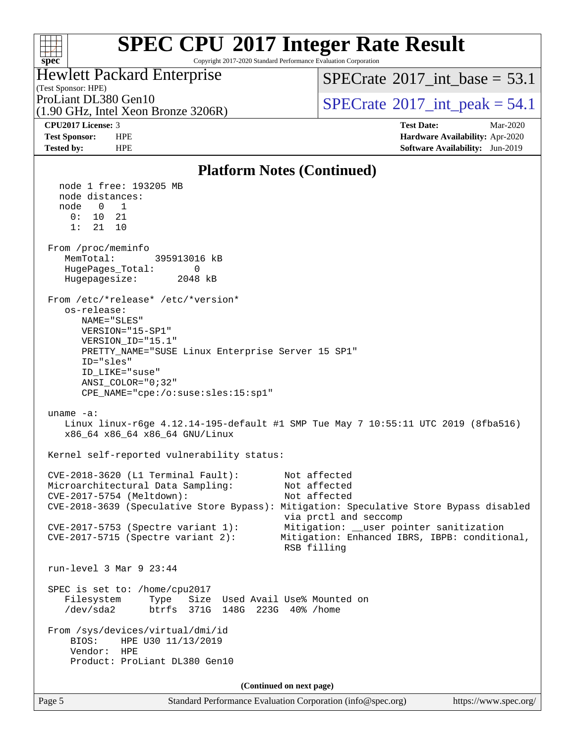#### $+\ +$ **[spec](http://www.spec.org/)**

# **[SPEC CPU](http://www.spec.org/auto/cpu2017/Docs/result-fields.html#SPECCPU2017IntegerRateResult)[2017 Integer Rate Result](http://www.spec.org/auto/cpu2017/Docs/result-fields.html#SPECCPU2017IntegerRateResult)**

Copyright 2017-2020 Standard Performance Evaluation Corporation

### Hewlett Packard Enterprise

(1.90 GHz, Intel Xeon Bronze 3206R)

[SPECrate](http://www.spec.org/auto/cpu2017/Docs/result-fields.html#SPECrate2017intbase)®2017 int\_base =  $53.1$ 

(Test Sponsor: HPE)

ProLiant DL380 Gen10  $SPECTaE \rightarrow 206P$   $SPECTaE \cdot 2017$  int peak = 54.1

**[CPU2017 License:](http://www.spec.org/auto/cpu2017/Docs/result-fields.html#CPU2017License)** 3 **[Test Date:](http://www.spec.org/auto/cpu2017/Docs/result-fields.html#TestDate)** Mar-2020 **[Test Sponsor:](http://www.spec.org/auto/cpu2017/Docs/result-fields.html#TestSponsor)** HPE **[Hardware Availability:](http://www.spec.org/auto/cpu2017/Docs/result-fields.html#HardwareAvailability)** Apr-2020 **[Tested by:](http://www.spec.org/auto/cpu2017/Docs/result-fields.html#Testedby)** HPE **[Software Availability:](http://www.spec.org/auto/cpu2017/Docs/result-fields.html#SoftwareAvailability)** Jun-2019

#### **[Platform Notes \(Continued\)](http://www.spec.org/auto/cpu2017/Docs/result-fields.html#PlatformNotes)**

 node 1 free: 193205 MB node distances: node 0 1  $0: 10 21$  1: 21 10 From /proc/meminfo MemTotal: 395913016 kB HugePages\_Total: 0 Hugepagesize: 2048 kB From /etc/\*release\* /etc/\*version\* os-release: NAME="SLES" VERSION="15-SP1" VERSION\_ID="15.1" PRETTY\_NAME="SUSE Linux Enterprise Server 15 SP1" ID="sles" ID\_LIKE="suse" ANSI\_COLOR="0;32" CPE\_NAME="cpe:/o:suse:sles:15:sp1" uname -a: Linux linux-r6ge 4.12.14-195-default #1 SMP Tue May 7 10:55:11 UTC 2019 (8fba516) x86\_64 x86\_64 x86\_64 GNU/Linux Kernel self-reported vulnerability status: CVE-2018-3620 (L1 Terminal Fault): Not affected Microarchitectural Data Sampling: Not affected CVE-2017-5754 (Meltdown): Not affected CVE-2018-3639 (Speculative Store Bypass): Mitigation: Speculative Store Bypass disabled via prctl and seccomp CVE-2017-5753 (Spectre variant 1): Mitigation: \_\_user pointer sanitization CVE-2017-5715 (Spectre variant 2): Mitigation: Enhanced IBRS, IBPB: conditional, RSB filling run-level 3 Mar 9 23:44 SPEC is set to: /home/cpu2017 Filesystem Type Size Used Avail Use% Mounted on /dev/sda2 btrfs 371G 148G 223G 40% /home From /sys/devices/virtual/dmi/id BIOS: HPE U30 11/13/2019 Vendor: HPE Product: ProLiant DL380 Gen10 **(Continued on next page)**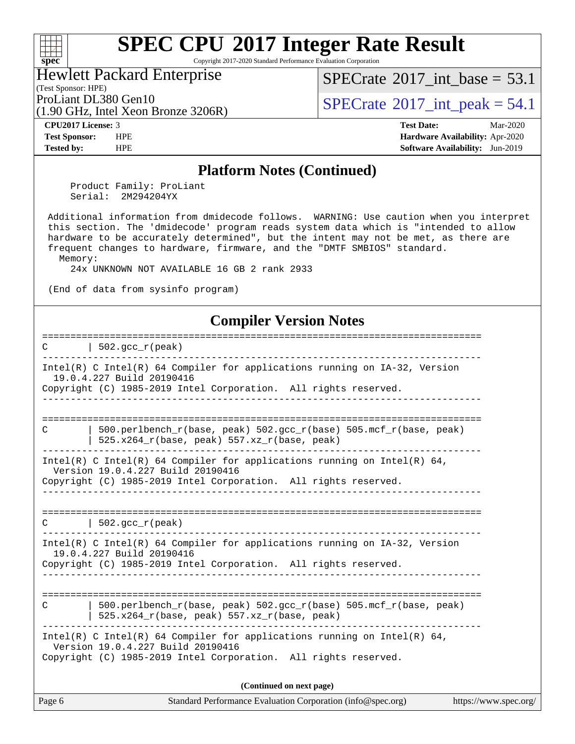Copyright 2017-2020 Standard Performance Evaluation Corporation

Hewlett Packard Enterprise

(Test Sponsor: HPE)

[SPECrate](http://www.spec.org/auto/cpu2017/Docs/result-fields.html#SPECrate2017intbase)®2017 int\_base =  $53.1$ 

(1.90 GHz, Intel Xeon Bronze 3206R)

ProLiant DL380 Gen10  $SPECrate^{\circ}2017$  $SPECrate^{\circ}2017$  int\_peak = 54.1

**[spec](http://www.spec.org/)**

**[CPU2017 License:](http://www.spec.org/auto/cpu2017/Docs/result-fields.html#CPU2017License)** 3 **[Test Date:](http://www.spec.org/auto/cpu2017/Docs/result-fields.html#TestDate)** Mar-2020 **[Test Sponsor:](http://www.spec.org/auto/cpu2017/Docs/result-fields.html#TestSponsor)** HPE **[Hardware Availability:](http://www.spec.org/auto/cpu2017/Docs/result-fields.html#HardwareAvailability)** Apr-2020 **[Tested by:](http://www.spec.org/auto/cpu2017/Docs/result-fields.html#Testedby)** HPE **[Software Availability:](http://www.spec.org/auto/cpu2017/Docs/result-fields.html#SoftwareAvailability)** Jun-2019

#### **[Platform Notes \(Continued\)](http://www.spec.org/auto/cpu2017/Docs/result-fields.html#PlatformNotes)**

 Product Family: ProLiant Serial: 2M294204YX

 Additional information from dmidecode follows. WARNING: Use caution when you interpret this section. The 'dmidecode' program reads system data which is "intended to allow hardware to be accurately determined", but the intent may not be met, as there are frequent changes to hardware, firmware, and the "DMTF SMBIOS" standard. Memory:

24x UNKNOWN NOT AVAILABLE 16 GB 2 rank 2933

(End of data from sysinfo program)

#### **[Compiler Version Notes](http://www.spec.org/auto/cpu2017/Docs/result-fields.html#CompilerVersionNotes)**

Page 6 Standard Performance Evaluation Corporation [\(info@spec.org\)](mailto:info@spec.org) <https://www.spec.org/> ============================================================================== C |  $502 \text{ qcc r (peak)}$ ------------------------------------------------------------------------------ Intel(R) C Intel(R) 64 Compiler for applications running on IA-32, Version 19.0.4.227 Build 20190416 Copyright (C) 1985-2019 Intel Corporation. All rights reserved. ------------------------------------------------------------------------------ ============================================================================== C  $\vert$  500.perlbench\_r(base, peak) 502.gcc\_r(base) 505.mcf\_r(base, peak) | 525.x264  $r(base, peak)$  557.xz  $r(base, peak)$ ------------------------------------------------------------------------------ Intel(R) C Intel(R) 64 Compiler for applications running on Intel(R)  $64$ , Version 19.0.4.227 Build 20190416 Copyright (C) 1985-2019 Intel Corporation. All rights reserved. ------------------------------------------------------------------------------ ==============================================================================  $C \qquad | \quad 502.\text{gcc\_r}(\text{peak})$ ------------------------------------------------------------------------------ Intel(R) C Intel(R) 64 Compiler for applications running on IA-32, Version 19.0.4.227 Build 20190416 Copyright (C) 1985-2019 Intel Corporation. All rights reserved. ------------------------------------------------------------------------------ ============================================================================== C | 500.perlbench\_r(base, peak) 502.gcc\_r(base) 505.mcf\_r(base, peak) | 525.x264\_r(base, peak) 557.xz\_r(base, peak) ------------------------------------------------------------------------------ Intel(R) C Intel(R) 64 Compiler for applications running on Intel(R)  $64$ , Version 19.0.4.227 Build 20190416 Copyright (C) 1985-2019 Intel Corporation. All rights reserved. **(Continued on next page)**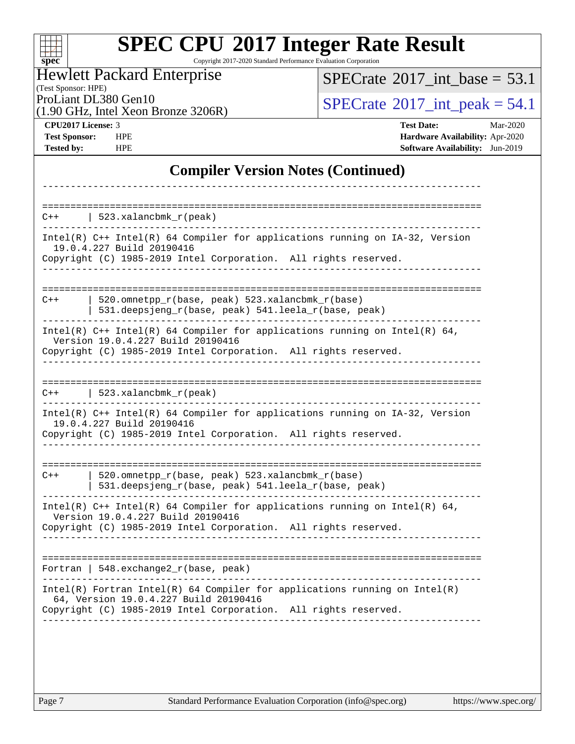#### **[SPEC CPU](http://www.spec.org/auto/cpu2017/Docs/result-fields.html#SPECCPU2017IntegerRateResult)[2017 Integer Rate Result](http://www.spec.org/auto/cpu2017/Docs/result-fields.html#SPECCPU2017IntegerRateResult)** Copyright 2017-2020 Standard Performance Evaluation Corporation Hewlett Packard Enterprise  $SPECTate$ <sup>®</sup>[2017\\_int\\_base =](http://www.spec.org/auto/cpu2017/Docs/result-fields.html#SPECrate2017intbase) 53.1

(Test Sponsor: HPE)

ProLiant DL380 Gen10<br>(1.90 GHz, Intel Xeon Bronze 3206R) [SPECrate](http://www.spec.org/auto/cpu2017/Docs/result-fields.html#SPECrate2017intpeak)<sup>®</sup>[2017\\_int\\_peak =](http://www.spec.org/auto/cpu2017/Docs/result-fields.html#SPECrate2017intpeak) 54.1

(1.90 GHz, Intel Xeon Bronze 3206R)

**[CPU2017 License:](http://www.spec.org/auto/cpu2017/Docs/result-fields.html#CPU2017License)** 3 **[Test Date:](http://www.spec.org/auto/cpu2017/Docs/result-fields.html#TestDate)** Mar-2020

**[spec](http://www.spec.org/)**

 $\pm\pm\prime$ 

**[Test Sponsor:](http://www.spec.org/auto/cpu2017/Docs/result-fields.html#TestSponsor)** HPE **[Hardware Availability:](http://www.spec.org/auto/cpu2017/Docs/result-fields.html#HardwareAvailability)** Apr-2020 **[Tested by:](http://www.spec.org/auto/cpu2017/Docs/result-fields.html#Testedby)** HPE **[Software Availability:](http://www.spec.org/auto/cpu2017/Docs/result-fields.html#SoftwareAvailability)** Jun-2019

#### **[Compiler Version Notes \(Continued\)](http://www.spec.org/auto/cpu2017/Docs/result-fields.html#CompilerVersionNotes)**

| $C++$               | 523.xalancbmk_r(peak)                                                                                                                                                                    |
|---------------------|------------------------------------------------------------------------------------------------------------------------------------------------------------------------------------------|
|                     | Intel(R) C++ Intel(R) 64 Compiler for applications running on IA-32, Version<br>19.0.4.227 Build 20190416<br>Copyright (C) 1985-2019 Intel Corporation. All rights reserved.             |
| $C++$               | 520.omnetpp_r(base, peak) 523.xalancbmk_r(base)<br>531.deepsjeng_r(base, peak) 541.leela_r(base, peak)                                                                                   |
|                     | Intel(R) $C++$ Intel(R) 64 Compiler for applications running on Intel(R) 64,<br>Version 19.0.4.227 Build 20190416<br>Copyright (C) 1985-2019 Intel Corporation. All rights reserved.     |
| $C++$               | $523$ .xalancbmk $r$ (peak)                                                                                                                                                              |
|                     | Intel(R) C++ Intel(R) 64 Compiler for applications running on IA-32, Version<br>19.0.4.227 Build 20190416<br>Copyright (C) 1985-2019 Intel Corporation. All rights reserved.             |
| ==========<br>$C++$ | ----------------------<br>520.omnetpp_r(base, peak) 523.xalancbmk_r(base)<br>531.deepsjeng_r(base, peak) 541.leela_r(base, peak)                                                         |
|                     | Intel(R) $C++$ Intel(R) 64 Compiler for applications running on Intel(R) 64,<br>Version 19.0.4.227 Build 20190416<br>Copyright (C) 1985-2019 Intel Corporation. All rights reserved.     |
|                     | Fortran   548.exchange2_r(base, peak)                                                                                                                                                    |
|                     | $Intel(R)$ Fortran Intel(R) 64 Compiler for applications running on Intel(R)<br>64, Version 19.0.4.227 Build 20190416<br>Copyright (C) 1985-2019 Intel Corporation. All rights reserved. |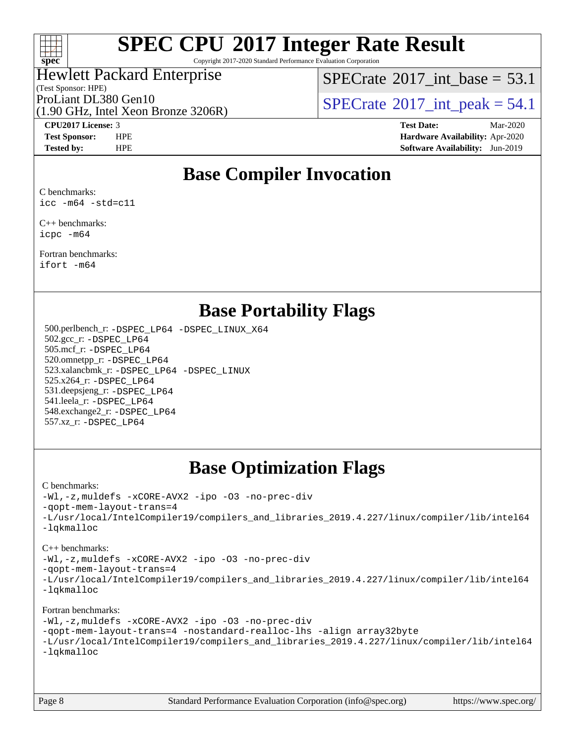

Copyright 2017-2020 Standard Performance Evaluation Corporation

#### (Test Sponsor: HPE) Hewlett Packard Enterprise

[SPECrate](http://www.spec.org/auto/cpu2017/Docs/result-fields.html#SPECrate2017intbase)®2017 int\_base =  $53.1$ 

(1.90 GHz, Intel Xeon Bronze 3206R)

ProLiant DL380 Gen10<br>(1.00 GHz, Intel Year Propes 3206B) [SPECrate](http://www.spec.org/auto/cpu2017/Docs/result-fields.html#SPECrate2017intpeak)® 2017 int\_peak = 54.1

**[CPU2017 License:](http://www.spec.org/auto/cpu2017/Docs/result-fields.html#CPU2017License)** 3 **[Test Date:](http://www.spec.org/auto/cpu2017/Docs/result-fields.html#TestDate)** Mar-2020 **[Test Sponsor:](http://www.spec.org/auto/cpu2017/Docs/result-fields.html#TestSponsor)** HPE **[Hardware Availability:](http://www.spec.org/auto/cpu2017/Docs/result-fields.html#HardwareAvailability)** Apr-2020 **[Tested by:](http://www.spec.org/auto/cpu2017/Docs/result-fields.html#Testedby)** HPE **[Software Availability:](http://www.spec.org/auto/cpu2017/Docs/result-fields.html#SoftwareAvailability)** Jun-2019

### **[Base Compiler Invocation](http://www.spec.org/auto/cpu2017/Docs/result-fields.html#BaseCompilerInvocation)**

[C benchmarks:](http://www.spec.org/auto/cpu2017/Docs/result-fields.html#Cbenchmarks) [icc -m64 -std=c11](http://www.spec.org/cpu2017/results/res2020q2/cpu2017-20200330-21543.flags.html#user_CCbase_intel_icc_64bit_c11_33ee0cdaae7deeeab2a9725423ba97205ce30f63b9926c2519791662299b76a0318f32ddfffdc46587804de3178b4f9328c46fa7c2b0cd779d7a61945c91cd35)

[C++ benchmarks:](http://www.spec.org/auto/cpu2017/Docs/result-fields.html#CXXbenchmarks) [icpc -m64](http://www.spec.org/cpu2017/results/res2020q2/cpu2017-20200330-21543.flags.html#user_CXXbase_intel_icpc_64bit_4ecb2543ae3f1412ef961e0650ca070fec7b7afdcd6ed48761b84423119d1bf6bdf5cad15b44d48e7256388bc77273b966e5eb805aefd121eb22e9299b2ec9d9)

[Fortran benchmarks](http://www.spec.org/auto/cpu2017/Docs/result-fields.html#Fortranbenchmarks): [ifort -m64](http://www.spec.org/cpu2017/results/res2020q2/cpu2017-20200330-21543.flags.html#user_FCbase_intel_ifort_64bit_24f2bb282fbaeffd6157abe4f878425411749daecae9a33200eee2bee2fe76f3b89351d69a8130dd5949958ce389cf37ff59a95e7a40d588e8d3a57e0c3fd751)

### **[Base Portability Flags](http://www.spec.org/auto/cpu2017/Docs/result-fields.html#BasePortabilityFlags)**

 500.perlbench\_r: [-DSPEC\\_LP64](http://www.spec.org/cpu2017/results/res2020q2/cpu2017-20200330-21543.flags.html#b500.perlbench_r_basePORTABILITY_DSPEC_LP64) [-DSPEC\\_LINUX\\_X64](http://www.spec.org/cpu2017/results/res2020q2/cpu2017-20200330-21543.flags.html#b500.perlbench_r_baseCPORTABILITY_DSPEC_LINUX_X64) 502.gcc\_r: [-DSPEC\\_LP64](http://www.spec.org/cpu2017/results/res2020q2/cpu2017-20200330-21543.flags.html#suite_basePORTABILITY502_gcc_r_DSPEC_LP64) 505.mcf\_r: [-DSPEC\\_LP64](http://www.spec.org/cpu2017/results/res2020q2/cpu2017-20200330-21543.flags.html#suite_basePORTABILITY505_mcf_r_DSPEC_LP64) 520.omnetpp\_r: [-DSPEC\\_LP64](http://www.spec.org/cpu2017/results/res2020q2/cpu2017-20200330-21543.flags.html#suite_basePORTABILITY520_omnetpp_r_DSPEC_LP64) 523.xalancbmk\_r: [-DSPEC\\_LP64](http://www.spec.org/cpu2017/results/res2020q2/cpu2017-20200330-21543.flags.html#suite_basePORTABILITY523_xalancbmk_r_DSPEC_LP64) [-DSPEC\\_LINUX](http://www.spec.org/cpu2017/results/res2020q2/cpu2017-20200330-21543.flags.html#b523.xalancbmk_r_baseCXXPORTABILITY_DSPEC_LINUX) 525.x264\_r: [-DSPEC\\_LP64](http://www.spec.org/cpu2017/results/res2020q2/cpu2017-20200330-21543.flags.html#suite_basePORTABILITY525_x264_r_DSPEC_LP64) 531.deepsjeng\_r: [-DSPEC\\_LP64](http://www.spec.org/cpu2017/results/res2020q2/cpu2017-20200330-21543.flags.html#suite_basePORTABILITY531_deepsjeng_r_DSPEC_LP64) 541.leela\_r: [-DSPEC\\_LP64](http://www.spec.org/cpu2017/results/res2020q2/cpu2017-20200330-21543.flags.html#suite_basePORTABILITY541_leela_r_DSPEC_LP64) 548.exchange2\_r: [-DSPEC\\_LP64](http://www.spec.org/cpu2017/results/res2020q2/cpu2017-20200330-21543.flags.html#suite_basePORTABILITY548_exchange2_r_DSPEC_LP64) 557.xz\_r: [-DSPEC\\_LP64](http://www.spec.org/cpu2017/results/res2020q2/cpu2017-20200330-21543.flags.html#suite_basePORTABILITY557_xz_r_DSPEC_LP64)

## **[Base Optimization Flags](http://www.spec.org/auto/cpu2017/Docs/result-fields.html#BaseOptimizationFlags)**

#### [C benchmarks](http://www.spec.org/auto/cpu2017/Docs/result-fields.html#Cbenchmarks):

[-Wl,-z,muldefs](http://www.spec.org/cpu2017/results/res2020q2/cpu2017-20200330-21543.flags.html#user_CCbase_link_force_multiple1_b4cbdb97b34bdee9ceefcfe54f4c8ea74255f0b02a4b23e853cdb0e18eb4525ac79b5a88067c842dd0ee6996c24547a27a4b99331201badda8798ef8a743f577) [-xCORE-AVX2](http://www.spec.org/cpu2017/results/res2020q2/cpu2017-20200330-21543.flags.html#user_CCbase_f-xCORE-AVX2) [-ipo](http://www.spec.org/cpu2017/results/res2020q2/cpu2017-20200330-21543.flags.html#user_CCbase_f-ipo) [-O3](http://www.spec.org/cpu2017/results/res2020q2/cpu2017-20200330-21543.flags.html#user_CCbase_f-O3) [-no-prec-div](http://www.spec.org/cpu2017/results/res2020q2/cpu2017-20200330-21543.flags.html#user_CCbase_f-no-prec-div) [-qopt-mem-layout-trans=4](http://www.spec.org/cpu2017/results/res2020q2/cpu2017-20200330-21543.flags.html#user_CCbase_f-qopt-mem-layout-trans_fa39e755916c150a61361b7846f310bcdf6f04e385ef281cadf3647acec3f0ae266d1a1d22d972a7087a248fd4e6ca390a3634700869573d231a252c784941a8) [-L/usr/local/IntelCompiler19/compilers\\_and\\_libraries\\_2019.4.227/linux/compiler/lib/intel64](http://www.spec.org/cpu2017/results/res2020q2/cpu2017-20200330-21543.flags.html#user_CCbase_qkmalloc_link_0ffe0cb02c68ef1b443a077c7888c10c67ca0d1dd7138472156f06a085bbad385f78d49618ad55dca9db3b1608e84afc2f69b4003b1d1ca498a9fc1462ccefda) [-lqkmalloc](http://www.spec.org/cpu2017/results/res2020q2/cpu2017-20200330-21543.flags.html#user_CCbase_qkmalloc_link_lib_79a818439969f771c6bc311cfd333c00fc099dad35c030f5aab9dda831713d2015205805422f83de8875488a2991c0a156aaa600e1f9138f8fc37004abc96dc5)

#### [C++ benchmarks](http://www.spec.org/auto/cpu2017/Docs/result-fields.html#CXXbenchmarks):

[-Wl,-z,muldefs](http://www.spec.org/cpu2017/results/res2020q2/cpu2017-20200330-21543.flags.html#user_CXXbase_link_force_multiple1_b4cbdb97b34bdee9ceefcfe54f4c8ea74255f0b02a4b23e853cdb0e18eb4525ac79b5a88067c842dd0ee6996c24547a27a4b99331201badda8798ef8a743f577) [-xCORE-AVX2](http://www.spec.org/cpu2017/results/res2020q2/cpu2017-20200330-21543.flags.html#user_CXXbase_f-xCORE-AVX2) [-ipo](http://www.spec.org/cpu2017/results/res2020q2/cpu2017-20200330-21543.flags.html#user_CXXbase_f-ipo) [-O3](http://www.spec.org/cpu2017/results/res2020q2/cpu2017-20200330-21543.flags.html#user_CXXbase_f-O3) [-no-prec-div](http://www.spec.org/cpu2017/results/res2020q2/cpu2017-20200330-21543.flags.html#user_CXXbase_f-no-prec-div)

[-qopt-mem-layout-trans=4](http://www.spec.org/cpu2017/results/res2020q2/cpu2017-20200330-21543.flags.html#user_CXXbase_f-qopt-mem-layout-trans_fa39e755916c150a61361b7846f310bcdf6f04e385ef281cadf3647acec3f0ae266d1a1d22d972a7087a248fd4e6ca390a3634700869573d231a252c784941a8)

[-L/usr/local/IntelCompiler19/compilers\\_and\\_libraries\\_2019.4.227/linux/compiler/lib/intel64](http://www.spec.org/cpu2017/results/res2020q2/cpu2017-20200330-21543.flags.html#user_CXXbase_qkmalloc_link_0ffe0cb02c68ef1b443a077c7888c10c67ca0d1dd7138472156f06a085bbad385f78d49618ad55dca9db3b1608e84afc2f69b4003b1d1ca498a9fc1462ccefda) [-lqkmalloc](http://www.spec.org/cpu2017/results/res2020q2/cpu2017-20200330-21543.flags.html#user_CXXbase_qkmalloc_link_lib_79a818439969f771c6bc311cfd333c00fc099dad35c030f5aab9dda831713d2015205805422f83de8875488a2991c0a156aaa600e1f9138f8fc37004abc96dc5)

#### [Fortran benchmarks](http://www.spec.org/auto/cpu2017/Docs/result-fields.html#Fortranbenchmarks):

[-Wl,-z,muldefs](http://www.spec.org/cpu2017/results/res2020q2/cpu2017-20200330-21543.flags.html#user_FCbase_link_force_multiple1_b4cbdb97b34bdee9ceefcfe54f4c8ea74255f0b02a4b23e853cdb0e18eb4525ac79b5a88067c842dd0ee6996c24547a27a4b99331201badda8798ef8a743f577) [-xCORE-AVX2](http://www.spec.org/cpu2017/results/res2020q2/cpu2017-20200330-21543.flags.html#user_FCbase_f-xCORE-AVX2) [-ipo](http://www.spec.org/cpu2017/results/res2020q2/cpu2017-20200330-21543.flags.html#user_FCbase_f-ipo) [-O3](http://www.spec.org/cpu2017/results/res2020q2/cpu2017-20200330-21543.flags.html#user_FCbase_f-O3) [-no-prec-div](http://www.spec.org/cpu2017/results/res2020q2/cpu2017-20200330-21543.flags.html#user_FCbase_f-no-prec-div) [-qopt-mem-layout-trans=4](http://www.spec.org/cpu2017/results/res2020q2/cpu2017-20200330-21543.flags.html#user_FCbase_f-qopt-mem-layout-trans_fa39e755916c150a61361b7846f310bcdf6f04e385ef281cadf3647acec3f0ae266d1a1d22d972a7087a248fd4e6ca390a3634700869573d231a252c784941a8) [-nostandard-realloc-lhs](http://www.spec.org/cpu2017/results/res2020q2/cpu2017-20200330-21543.flags.html#user_FCbase_f_2003_std_realloc_82b4557e90729c0f113870c07e44d33d6f5a304b4f63d4c15d2d0f1fab99f5daaed73bdb9275d9ae411527f28b936061aa8b9c8f2d63842963b95c9dd6426b8a) [-align array32byte](http://www.spec.org/cpu2017/results/res2020q2/cpu2017-20200330-21543.flags.html#user_FCbase_align_array32byte_b982fe038af199962ba9a80c053b8342c548c85b40b8e86eb3cc33dee0d7986a4af373ac2d51c3f7cf710a18d62fdce2948f201cd044323541f22fc0fffc51b6) [-L/usr/local/IntelCompiler19/compilers\\_and\\_libraries\\_2019.4.227/linux/compiler/lib/intel64](http://www.spec.org/cpu2017/results/res2020q2/cpu2017-20200330-21543.flags.html#user_FCbase_qkmalloc_link_0ffe0cb02c68ef1b443a077c7888c10c67ca0d1dd7138472156f06a085bbad385f78d49618ad55dca9db3b1608e84afc2f69b4003b1d1ca498a9fc1462ccefda) [-lqkmalloc](http://www.spec.org/cpu2017/results/res2020q2/cpu2017-20200330-21543.flags.html#user_FCbase_qkmalloc_link_lib_79a818439969f771c6bc311cfd333c00fc099dad35c030f5aab9dda831713d2015205805422f83de8875488a2991c0a156aaa600e1f9138f8fc37004abc96dc5)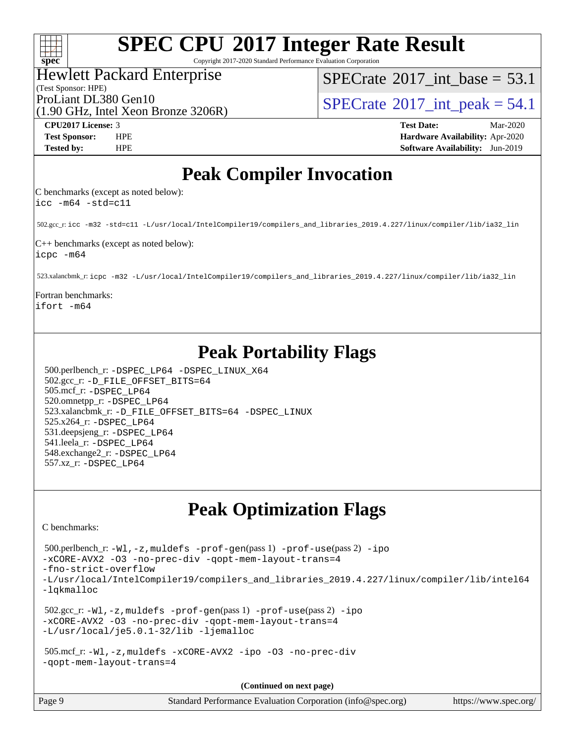#### $+\ +$ **[spec](http://www.spec.org/)**

# **[SPEC CPU](http://www.spec.org/auto/cpu2017/Docs/result-fields.html#SPECCPU2017IntegerRateResult)[2017 Integer Rate Result](http://www.spec.org/auto/cpu2017/Docs/result-fields.html#SPECCPU2017IntegerRateResult)**

Copyright 2017-2020 Standard Performance Evaluation Corporation

#### Hewlett Packard Enterprise

(1.90 GHz, Intel Xeon Bronze 3206R)

(Test Sponsor: HPE)

[SPECrate](http://www.spec.org/auto/cpu2017/Docs/result-fields.html#SPECrate2017intbase)®2017 int\_base =  $53.1$ 

ProLiant DL380 Gen10<br>(1.00 GHz, Intel Year Proper 3206B) [SPECrate](http://www.spec.org/auto/cpu2017/Docs/result-fields.html#SPECrate2017intpeak)® 2017 int\_peak = 54.1

**[CPU2017 License:](http://www.spec.org/auto/cpu2017/Docs/result-fields.html#CPU2017License)** 3 **[Test Date:](http://www.spec.org/auto/cpu2017/Docs/result-fields.html#TestDate)** Mar-2020 **[Test Sponsor:](http://www.spec.org/auto/cpu2017/Docs/result-fields.html#TestSponsor)** HPE **[Hardware Availability:](http://www.spec.org/auto/cpu2017/Docs/result-fields.html#HardwareAvailability)** Apr-2020 **[Tested by:](http://www.spec.org/auto/cpu2017/Docs/result-fields.html#Testedby)** HPE **[Software Availability:](http://www.spec.org/auto/cpu2017/Docs/result-fields.html#SoftwareAvailability)** Jun-2019

### **[Peak Compiler Invocation](http://www.spec.org/auto/cpu2017/Docs/result-fields.html#PeakCompilerInvocation)**

[C benchmarks \(except as noted below\):](http://www.spec.org/auto/cpu2017/Docs/result-fields.html#Cbenchmarksexceptasnotedbelow) [icc -m64 -std=c11](http://www.spec.org/cpu2017/results/res2020q2/cpu2017-20200330-21543.flags.html#user_CCpeak_intel_icc_64bit_c11_33ee0cdaae7deeeab2a9725423ba97205ce30f63b9926c2519791662299b76a0318f32ddfffdc46587804de3178b4f9328c46fa7c2b0cd779d7a61945c91cd35)

502.gcc\_r: [icc -m32 -std=c11 -L/usr/local/IntelCompiler19/compilers\\_and\\_libraries\\_2019.4.227/linux/compiler/lib/ia32\\_lin](http://www.spec.org/cpu2017/results/res2020q2/cpu2017-20200330-21543.flags.html#user_peakCCLD502_gcc_r_intel_icc_38a193a897536fa645efb1dc6ac2bea2bddbbe56f130e144a606d1b2649003f27c79f8814020c1f9355cbbf0d7ab0d194a7a979ee1e2a95641bbb8cf571aac7b)

[C++ benchmarks \(except as noted below\):](http://www.spec.org/auto/cpu2017/Docs/result-fields.html#CXXbenchmarksexceptasnotedbelow) [icpc -m64](http://www.spec.org/cpu2017/results/res2020q2/cpu2017-20200330-21543.flags.html#user_CXXpeak_intel_icpc_64bit_4ecb2543ae3f1412ef961e0650ca070fec7b7afdcd6ed48761b84423119d1bf6bdf5cad15b44d48e7256388bc77273b966e5eb805aefd121eb22e9299b2ec9d9)

523.xalancbmk\_r: [icpc -m32 -L/usr/local/IntelCompiler19/compilers\\_and\\_libraries\\_2019.4.227/linux/compiler/lib/ia32\\_lin](http://www.spec.org/cpu2017/results/res2020q2/cpu2017-20200330-21543.flags.html#user_peakCXXLD523_xalancbmk_r_intel_icpc_840f965b38320ad10acba6032d6ca4c816e722c432c250f3408feae347068ba449f694544a48cf12cd3bde3495e328e6747ab0f629c2925d3062e2ee144af951)

[Fortran benchmarks](http://www.spec.org/auto/cpu2017/Docs/result-fields.html#Fortranbenchmarks): [ifort -m64](http://www.spec.org/cpu2017/results/res2020q2/cpu2017-20200330-21543.flags.html#user_FCpeak_intel_ifort_64bit_24f2bb282fbaeffd6157abe4f878425411749daecae9a33200eee2bee2fe76f3b89351d69a8130dd5949958ce389cf37ff59a95e7a40d588e8d3a57e0c3fd751)

# **[Peak Portability Flags](http://www.spec.org/auto/cpu2017/Docs/result-fields.html#PeakPortabilityFlags)**

 500.perlbench\_r: [-DSPEC\\_LP64](http://www.spec.org/cpu2017/results/res2020q2/cpu2017-20200330-21543.flags.html#b500.perlbench_r_peakPORTABILITY_DSPEC_LP64) [-DSPEC\\_LINUX\\_X64](http://www.spec.org/cpu2017/results/res2020q2/cpu2017-20200330-21543.flags.html#b500.perlbench_r_peakCPORTABILITY_DSPEC_LINUX_X64) 502.gcc\_r: [-D\\_FILE\\_OFFSET\\_BITS=64](http://www.spec.org/cpu2017/results/res2020q2/cpu2017-20200330-21543.flags.html#user_peakPORTABILITY502_gcc_r_file_offset_bits_64_5ae949a99b284ddf4e95728d47cb0843d81b2eb0e18bdfe74bbf0f61d0b064f4bda2f10ea5eb90e1dcab0e84dbc592acfc5018bc955c18609f94ddb8d550002c) 505.mcf\_r: [-DSPEC\\_LP64](http://www.spec.org/cpu2017/results/res2020q2/cpu2017-20200330-21543.flags.html#suite_peakPORTABILITY505_mcf_r_DSPEC_LP64) 520.omnetpp\_r: [-DSPEC\\_LP64](http://www.spec.org/cpu2017/results/res2020q2/cpu2017-20200330-21543.flags.html#suite_peakPORTABILITY520_omnetpp_r_DSPEC_LP64) 523.xalancbmk\_r: [-D\\_FILE\\_OFFSET\\_BITS=64](http://www.spec.org/cpu2017/results/res2020q2/cpu2017-20200330-21543.flags.html#user_peakPORTABILITY523_xalancbmk_r_file_offset_bits_64_5ae949a99b284ddf4e95728d47cb0843d81b2eb0e18bdfe74bbf0f61d0b064f4bda2f10ea5eb90e1dcab0e84dbc592acfc5018bc955c18609f94ddb8d550002c) [-DSPEC\\_LINUX](http://www.spec.org/cpu2017/results/res2020q2/cpu2017-20200330-21543.flags.html#b523.xalancbmk_r_peakCXXPORTABILITY_DSPEC_LINUX) 525.x264\_r: [-DSPEC\\_LP64](http://www.spec.org/cpu2017/results/res2020q2/cpu2017-20200330-21543.flags.html#suite_peakPORTABILITY525_x264_r_DSPEC_LP64) 531.deepsjeng\_r: [-DSPEC\\_LP64](http://www.spec.org/cpu2017/results/res2020q2/cpu2017-20200330-21543.flags.html#suite_peakPORTABILITY531_deepsjeng_r_DSPEC_LP64) 541.leela\_r: [-DSPEC\\_LP64](http://www.spec.org/cpu2017/results/res2020q2/cpu2017-20200330-21543.flags.html#suite_peakPORTABILITY541_leela_r_DSPEC_LP64) 548.exchange2\_r: [-DSPEC\\_LP64](http://www.spec.org/cpu2017/results/res2020q2/cpu2017-20200330-21543.flags.html#suite_peakPORTABILITY548_exchange2_r_DSPEC_LP64) 557.xz\_r: [-DSPEC\\_LP64](http://www.spec.org/cpu2017/results/res2020q2/cpu2017-20200330-21543.flags.html#suite_peakPORTABILITY557_xz_r_DSPEC_LP64)

## **[Peak Optimization Flags](http://www.spec.org/auto/cpu2017/Docs/result-fields.html#PeakOptimizationFlags)**

[C benchmarks](http://www.spec.org/auto/cpu2017/Docs/result-fields.html#Cbenchmarks):

 500.perlbench\_r: [-Wl,-z,muldefs](http://www.spec.org/cpu2017/results/res2020q2/cpu2017-20200330-21543.flags.html#user_peakEXTRA_LDFLAGS500_perlbench_r_link_force_multiple1_b4cbdb97b34bdee9ceefcfe54f4c8ea74255f0b02a4b23e853cdb0e18eb4525ac79b5a88067c842dd0ee6996c24547a27a4b99331201badda8798ef8a743f577) [-prof-gen](http://www.spec.org/cpu2017/results/res2020q2/cpu2017-20200330-21543.flags.html#user_peakPASS1_CFLAGSPASS1_LDFLAGS500_perlbench_r_prof_gen_5aa4926d6013ddb2a31985c654b3eb18169fc0c6952a63635c234f711e6e63dd76e94ad52365559451ec499a2cdb89e4dc58ba4c67ef54ca681ffbe1461d6b36)(pass 1) [-prof-use](http://www.spec.org/cpu2017/results/res2020q2/cpu2017-20200330-21543.flags.html#user_peakPASS2_CFLAGSPASS2_LDFLAGS500_perlbench_r_prof_use_1a21ceae95f36a2b53c25747139a6c16ca95bd9def2a207b4f0849963b97e94f5260e30a0c64f4bb623698870e679ca08317ef8150905d41bd88c6f78df73f19)(pass 2) [-ipo](http://www.spec.org/cpu2017/results/res2020q2/cpu2017-20200330-21543.flags.html#user_peakPASS1_COPTIMIZEPASS2_COPTIMIZE500_perlbench_r_f-ipo) [-xCORE-AVX2](http://www.spec.org/cpu2017/results/res2020q2/cpu2017-20200330-21543.flags.html#user_peakPASS2_COPTIMIZE500_perlbench_r_f-xCORE-AVX2) [-O3](http://www.spec.org/cpu2017/results/res2020q2/cpu2017-20200330-21543.flags.html#user_peakPASS1_COPTIMIZEPASS2_COPTIMIZE500_perlbench_r_f-O3) [-no-prec-div](http://www.spec.org/cpu2017/results/res2020q2/cpu2017-20200330-21543.flags.html#user_peakPASS1_COPTIMIZEPASS2_COPTIMIZE500_perlbench_r_f-no-prec-div) [-qopt-mem-layout-trans=4](http://www.spec.org/cpu2017/results/res2020q2/cpu2017-20200330-21543.flags.html#user_peakPASS1_COPTIMIZEPASS2_COPTIMIZE500_perlbench_r_f-qopt-mem-layout-trans_fa39e755916c150a61361b7846f310bcdf6f04e385ef281cadf3647acec3f0ae266d1a1d22d972a7087a248fd4e6ca390a3634700869573d231a252c784941a8) [-fno-strict-overflow](http://www.spec.org/cpu2017/results/res2020q2/cpu2017-20200330-21543.flags.html#user_peakEXTRA_OPTIMIZE500_perlbench_r_f-fno-strict-overflow) [-L/usr/local/IntelCompiler19/compilers\\_and\\_libraries\\_2019.4.227/linux/compiler/lib/intel64](http://www.spec.org/cpu2017/results/res2020q2/cpu2017-20200330-21543.flags.html#user_peakEXTRA_LIBS500_perlbench_r_qkmalloc_link_0ffe0cb02c68ef1b443a077c7888c10c67ca0d1dd7138472156f06a085bbad385f78d49618ad55dca9db3b1608e84afc2f69b4003b1d1ca498a9fc1462ccefda) [-lqkmalloc](http://www.spec.org/cpu2017/results/res2020q2/cpu2017-20200330-21543.flags.html#user_peakEXTRA_LIBS500_perlbench_r_qkmalloc_link_lib_79a818439969f771c6bc311cfd333c00fc099dad35c030f5aab9dda831713d2015205805422f83de8875488a2991c0a156aaa600e1f9138f8fc37004abc96dc5) 502.gcc\_r: [-Wl,-z,muldefs](http://www.spec.org/cpu2017/results/res2020q2/cpu2017-20200330-21543.flags.html#user_peakEXTRA_LDFLAGS502_gcc_r_link_force_multiple1_b4cbdb97b34bdee9ceefcfe54f4c8ea74255f0b02a4b23e853cdb0e18eb4525ac79b5a88067c842dd0ee6996c24547a27a4b99331201badda8798ef8a743f577) [-prof-gen](http://www.spec.org/cpu2017/results/res2020q2/cpu2017-20200330-21543.flags.html#user_peakPASS1_CFLAGSPASS1_LDFLAGS502_gcc_r_prof_gen_5aa4926d6013ddb2a31985c654b3eb18169fc0c6952a63635c234f711e6e63dd76e94ad52365559451ec499a2cdb89e4dc58ba4c67ef54ca681ffbe1461d6b36)(pass 1) [-prof-use](http://www.spec.org/cpu2017/results/res2020q2/cpu2017-20200330-21543.flags.html#user_peakPASS2_CFLAGSPASS2_LDFLAGS502_gcc_r_prof_use_1a21ceae95f36a2b53c25747139a6c16ca95bd9def2a207b4f0849963b97e94f5260e30a0c64f4bb623698870e679ca08317ef8150905d41bd88c6f78df73f19)(pass 2) [-ipo](http://www.spec.org/cpu2017/results/res2020q2/cpu2017-20200330-21543.flags.html#user_peakPASS1_COPTIMIZEPASS2_COPTIMIZE502_gcc_r_f-ipo) [-xCORE-AVX2](http://www.spec.org/cpu2017/results/res2020q2/cpu2017-20200330-21543.flags.html#user_peakPASS2_COPTIMIZE502_gcc_r_f-xCORE-AVX2) [-O3](http://www.spec.org/cpu2017/results/res2020q2/cpu2017-20200330-21543.flags.html#user_peakPASS1_COPTIMIZEPASS2_COPTIMIZE502_gcc_r_f-O3) [-no-prec-div](http://www.spec.org/cpu2017/results/res2020q2/cpu2017-20200330-21543.flags.html#user_peakPASS1_COPTIMIZEPASS2_COPTIMIZE502_gcc_r_f-no-prec-div) [-qopt-mem-layout-trans=4](http://www.spec.org/cpu2017/results/res2020q2/cpu2017-20200330-21543.flags.html#user_peakPASS1_COPTIMIZEPASS2_COPTIMIZE502_gcc_r_f-qopt-mem-layout-trans_fa39e755916c150a61361b7846f310bcdf6f04e385ef281cadf3647acec3f0ae266d1a1d22d972a7087a248fd4e6ca390a3634700869573d231a252c784941a8) [-L/usr/local/je5.0.1-32/lib](http://www.spec.org/cpu2017/results/res2020q2/cpu2017-20200330-21543.flags.html#user_peakEXTRA_LIBS502_gcc_r_jemalloc_link_path32_e29f22e8e6c17053bbc6a0971f5a9c01a601a06bb1a59df2084b77a2fe0a2995b64fd4256feaeea39eeba3aae142e96e2b2b0a28974019c0c0c88139a84f900a) [-ljemalloc](http://www.spec.org/cpu2017/results/res2020q2/cpu2017-20200330-21543.flags.html#user_peakEXTRA_LIBS502_gcc_r_jemalloc_link_lib_d1249b907c500fa1c0672f44f562e3d0f79738ae9e3c4a9c376d49f265a04b9c99b167ecedbf6711b3085be911c67ff61f150a17b3472be731631ba4d0471706) 505.mcf\_r: [-Wl,-z,muldefs](http://www.spec.org/cpu2017/results/res2020q2/cpu2017-20200330-21543.flags.html#user_peakEXTRA_LDFLAGS505_mcf_r_link_force_multiple1_b4cbdb97b34bdee9ceefcfe54f4c8ea74255f0b02a4b23e853cdb0e18eb4525ac79b5a88067c842dd0ee6996c24547a27a4b99331201badda8798ef8a743f577) [-xCORE-AVX2](http://www.spec.org/cpu2017/results/res2020q2/cpu2017-20200330-21543.flags.html#user_peakCOPTIMIZE505_mcf_r_f-xCORE-AVX2) [-ipo](http://www.spec.org/cpu2017/results/res2020q2/cpu2017-20200330-21543.flags.html#user_peakCOPTIMIZE505_mcf_r_f-ipo) [-O3](http://www.spec.org/cpu2017/results/res2020q2/cpu2017-20200330-21543.flags.html#user_peakCOPTIMIZE505_mcf_r_f-O3) [-no-prec-div](http://www.spec.org/cpu2017/results/res2020q2/cpu2017-20200330-21543.flags.html#user_peakCOPTIMIZE505_mcf_r_f-no-prec-div) [-qopt-mem-layout-trans=4](http://www.spec.org/cpu2017/results/res2020q2/cpu2017-20200330-21543.flags.html#user_peakCOPTIMIZE505_mcf_r_f-qopt-mem-layout-trans_fa39e755916c150a61361b7846f310bcdf6f04e385ef281cadf3647acec3f0ae266d1a1d22d972a7087a248fd4e6ca390a3634700869573d231a252c784941a8)

**(Continued on next page)**

| Page 9 | Standard Performance Evaluation Corporation (info@spec.org) | https://www.spec.org/ |
|--------|-------------------------------------------------------------|-----------------------|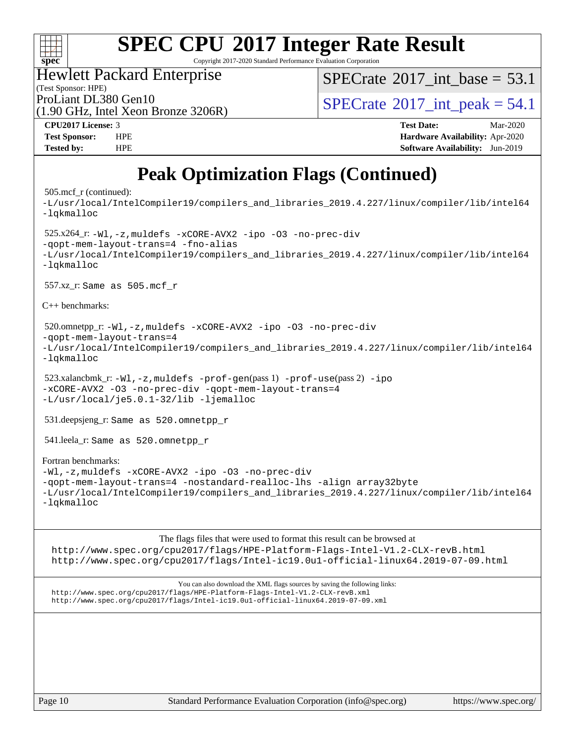

Copyright 2017-2020 Standard Performance Evaluation Corporation

Hewlett Packard Enterprise

(Test Sponsor: HPE)

[SPECrate](http://www.spec.org/auto/cpu2017/Docs/result-fields.html#SPECrate2017intbase)®2017 int\_base =  $53.1$ 

(1.90 GHz, Intel Xeon Bronze 3206R)

ProLiant DL380 Gen10<br>  $\langle 1.90 \text{ GHz. Intel Yes} \rangle$  [SPECrate](http://www.spec.org/auto/cpu2017/Docs/result-fields.html#SPECrate2017intpeak)® 2017 int\_peak = 54.1

**[CPU2017 License:](http://www.spec.org/auto/cpu2017/Docs/result-fields.html#CPU2017License)** 3 **[Test Date:](http://www.spec.org/auto/cpu2017/Docs/result-fields.html#TestDate)** Mar-2020 **[Test Sponsor:](http://www.spec.org/auto/cpu2017/Docs/result-fields.html#TestSponsor)** HPE **[Hardware Availability:](http://www.spec.org/auto/cpu2017/Docs/result-fields.html#HardwareAvailability)** Apr-2020 **[Tested by:](http://www.spec.org/auto/cpu2017/Docs/result-fields.html#Testedby)** HPE **[Software Availability:](http://www.spec.org/auto/cpu2017/Docs/result-fields.html#SoftwareAvailability)** Jun-2019

# **[Peak Optimization Flags \(Continued\)](http://www.spec.org/auto/cpu2017/Docs/result-fields.html#PeakOptimizationFlags)**

505.mcf\_r (continued):

[-L/usr/local/IntelCompiler19/compilers\\_and\\_libraries\\_2019.4.227/linux/compiler/lib/intel64](http://www.spec.org/cpu2017/results/res2020q2/cpu2017-20200330-21543.flags.html#user_peakEXTRA_LIBS505_mcf_r_qkmalloc_link_0ffe0cb02c68ef1b443a077c7888c10c67ca0d1dd7138472156f06a085bbad385f78d49618ad55dca9db3b1608e84afc2f69b4003b1d1ca498a9fc1462ccefda) [-lqkmalloc](http://www.spec.org/cpu2017/results/res2020q2/cpu2017-20200330-21543.flags.html#user_peakEXTRA_LIBS505_mcf_r_qkmalloc_link_lib_79a818439969f771c6bc311cfd333c00fc099dad35c030f5aab9dda831713d2015205805422f83de8875488a2991c0a156aaa600e1f9138f8fc37004abc96dc5) 525.x264\_r: [-Wl,-z,muldefs](http://www.spec.org/cpu2017/results/res2020q2/cpu2017-20200330-21543.flags.html#user_peakEXTRA_LDFLAGS525_x264_r_link_force_multiple1_b4cbdb97b34bdee9ceefcfe54f4c8ea74255f0b02a4b23e853cdb0e18eb4525ac79b5a88067c842dd0ee6996c24547a27a4b99331201badda8798ef8a743f577) [-xCORE-AVX2](http://www.spec.org/cpu2017/results/res2020q2/cpu2017-20200330-21543.flags.html#user_peakCOPTIMIZE525_x264_r_f-xCORE-AVX2) [-ipo](http://www.spec.org/cpu2017/results/res2020q2/cpu2017-20200330-21543.flags.html#user_peakCOPTIMIZE525_x264_r_f-ipo) [-O3](http://www.spec.org/cpu2017/results/res2020q2/cpu2017-20200330-21543.flags.html#user_peakCOPTIMIZE525_x264_r_f-O3) [-no-prec-div](http://www.spec.org/cpu2017/results/res2020q2/cpu2017-20200330-21543.flags.html#user_peakCOPTIMIZE525_x264_r_f-no-prec-div) [-qopt-mem-layout-trans=4](http://www.spec.org/cpu2017/results/res2020q2/cpu2017-20200330-21543.flags.html#user_peakCOPTIMIZE525_x264_r_f-qopt-mem-layout-trans_fa39e755916c150a61361b7846f310bcdf6f04e385ef281cadf3647acec3f0ae266d1a1d22d972a7087a248fd4e6ca390a3634700869573d231a252c784941a8) [-fno-alias](http://www.spec.org/cpu2017/results/res2020q2/cpu2017-20200330-21543.flags.html#user_peakEXTRA_OPTIMIZE525_x264_r_f-no-alias_77dbac10d91cbfe898fbf4a29d1b29b694089caa623bdd1baccc9957d4edbe8d106c0b357e2748a65b44fc9e83d78098bb898077f3fe92f9faf24f7bd4a07ed7) [-L/usr/local/IntelCompiler19/compilers\\_and\\_libraries\\_2019.4.227/linux/compiler/lib/intel64](http://www.spec.org/cpu2017/results/res2020q2/cpu2017-20200330-21543.flags.html#user_peakEXTRA_LIBS525_x264_r_qkmalloc_link_0ffe0cb02c68ef1b443a077c7888c10c67ca0d1dd7138472156f06a085bbad385f78d49618ad55dca9db3b1608e84afc2f69b4003b1d1ca498a9fc1462ccefda) [-lqkmalloc](http://www.spec.org/cpu2017/results/res2020q2/cpu2017-20200330-21543.flags.html#user_peakEXTRA_LIBS525_x264_r_qkmalloc_link_lib_79a818439969f771c6bc311cfd333c00fc099dad35c030f5aab9dda831713d2015205805422f83de8875488a2991c0a156aaa600e1f9138f8fc37004abc96dc5) 557.xz\_r: Same as 505.mcf\_r [C++ benchmarks:](http://www.spec.org/auto/cpu2017/Docs/result-fields.html#CXXbenchmarks) 520.omnetpp\_r: [-Wl,-z,muldefs](http://www.spec.org/cpu2017/results/res2020q2/cpu2017-20200330-21543.flags.html#user_peakEXTRA_LDFLAGS520_omnetpp_r_link_force_multiple1_b4cbdb97b34bdee9ceefcfe54f4c8ea74255f0b02a4b23e853cdb0e18eb4525ac79b5a88067c842dd0ee6996c24547a27a4b99331201badda8798ef8a743f577) [-xCORE-AVX2](http://www.spec.org/cpu2017/results/res2020q2/cpu2017-20200330-21543.flags.html#user_peakCXXOPTIMIZE520_omnetpp_r_f-xCORE-AVX2) [-ipo](http://www.spec.org/cpu2017/results/res2020q2/cpu2017-20200330-21543.flags.html#user_peakCXXOPTIMIZE520_omnetpp_r_f-ipo) [-O3](http://www.spec.org/cpu2017/results/res2020q2/cpu2017-20200330-21543.flags.html#user_peakCXXOPTIMIZE520_omnetpp_r_f-O3) [-no-prec-div](http://www.spec.org/cpu2017/results/res2020q2/cpu2017-20200330-21543.flags.html#user_peakCXXOPTIMIZE520_omnetpp_r_f-no-prec-div) [-qopt-mem-layout-trans=4](http://www.spec.org/cpu2017/results/res2020q2/cpu2017-20200330-21543.flags.html#user_peakCXXOPTIMIZE520_omnetpp_r_f-qopt-mem-layout-trans_fa39e755916c150a61361b7846f310bcdf6f04e385ef281cadf3647acec3f0ae266d1a1d22d972a7087a248fd4e6ca390a3634700869573d231a252c784941a8) [-L/usr/local/IntelCompiler19/compilers\\_and\\_libraries\\_2019.4.227/linux/compiler/lib/intel64](http://www.spec.org/cpu2017/results/res2020q2/cpu2017-20200330-21543.flags.html#user_peakEXTRA_LIBS520_omnetpp_r_qkmalloc_link_0ffe0cb02c68ef1b443a077c7888c10c67ca0d1dd7138472156f06a085bbad385f78d49618ad55dca9db3b1608e84afc2f69b4003b1d1ca498a9fc1462ccefda) [-lqkmalloc](http://www.spec.org/cpu2017/results/res2020q2/cpu2017-20200330-21543.flags.html#user_peakEXTRA_LIBS520_omnetpp_r_qkmalloc_link_lib_79a818439969f771c6bc311cfd333c00fc099dad35c030f5aab9dda831713d2015205805422f83de8875488a2991c0a156aaa600e1f9138f8fc37004abc96dc5) 523.xalancbmk\_r:  $-W1$ ,  $-z$ , muldefs  $-prof-qen(pass 1)$   $-prof-use(pass 2) -ipo$  $-prof-use(pass 2) -ipo$  $-prof-use(pass 2) -ipo$ [-xCORE-AVX2](http://www.spec.org/cpu2017/results/res2020q2/cpu2017-20200330-21543.flags.html#user_peakPASS2_CXXOPTIMIZE523_xalancbmk_r_f-xCORE-AVX2) [-O3](http://www.spec.org/cpu2017/results/res2020q2/cpu2017-20200330-21543.flags.html#user_peakPASS1_CXXOPTIMIZEPASS2_CXXOPTIMIZE523_xalancbmk_r_f-O3) [-no-prec-div](http://www.spec.org/cpu2017/results/res2020q2/cpu2017-20200330-21543.flags.html#user_peakPASS1_CXXOPTIMIZEPASS2_CXXOPTIMIZE523_xalancbmk_r_f-no-prec-div) [-qopt-mem-layout-trans=4](http://www.spec.org/cpu2017/results/res2020q2/cpu2017-20200330-21543.flags.html#user_peakPASS1_CXXOPTIMIZEPASS2_CXXOPTIMIZE523_xalancbmk_r_f-qopt-mem-layout-trans_fa39e755916c150a61361b7846f310bcdf6f04e385ef281cadf3647acec3f0ae266d1a1d22d972a7087a248fd4e6ca390a3634700869573d231a252c784941a8) [-L/usr/local/je5.0.1-32/lib](http://www.spec.org/cpu2017/results/res2020q2/cpu2017-20200330-21543.flags.html#user_peakEXTRA_LIBS523_xalancbmk_r_jemalloc_link_path32_e29f22e8e6c17053bbc6a0971f5a9c01a601a06bb1a59df2084b77a2fe0a2995b64fd4256feaeea39eeba3aae142e96e2b2b0a28974019c0c0c88139a84f900a) [-ljemalloc](http://www.spec.org/cpu2017/results/res2020q2/cpu2017-20200330-21543.flags.html#user_peakEXTRA_LIBS523_xalancbmk_r_jemalloc_link_lib_d1249b907c500fa1c0672f44f562e3d0f79738ae9e3c4a9c376d49f265a04b9c99b167ecedbf6711b3085be911c67ff61f150a17b3472be731631ba4d0471706) 531.deepsjeng\_r: Same as 520.omnetpp\_r 541.leela\_r: Same as 520.omnetpp\_r [Fortran benchmarks:](http://www.spec.org/auto/cpu2017/Docs/result-fields.html#Fortranbenchmarks) [-Wl,-z,muldefs](http://www.spec.org/cpu2017/results/res2020q2/cpu2017-20200330-21543.flags.html#user_FCpeak_link_force_multiple1_b4cbdb97b34bdee9ceefcfe54f4c8ea74255f0b02a4b23e853cdb0e18eb4525ac79b5a88067c842dd0ee6996c24547a27a4b99331201badda8798ef8a743f577) [-xCORE-AVX2](http://www.spec.org/cpu2017/results/res2020q2/cpu2017-20200330-21543.flags.html#user_FCpeak_f-xCORE-AVX2) [-ipo](http://www.spec.org/cpu2017/results/res2020q2/cpu2017-20200330-21543.flags.html#user_FCpeak_f-ipo) [-O3](http://www.spec.org/cpu2017/results/res2020q2/cpu2017-20200330-21543.flags.html#user_FCpeak_f-O3) [-no-prec-div](http://www.spec.org/cpu2017/results/res2020q2/cpu2017-20200330-21543.flags.html#user_FCpeak_f-no-prec-div) [-qopt-mem-layout-trans=4](http://www.spec.org/cpu2017/results/res2020q2/cpu2017-20200330-21543.flags.html#user_FCpeak_f-qopt-mem-layout-trans_fa39e755916c150a61361b7846f310bcdf6f04e385ef281cadf3647acec3f0ae266d1a1d22d972a7087a248fd4e6ca390a3634700869573d231a252c784941a8) [-nostandard-realloc-lhs](http://www.spec.org/cpu2017/results/res2020q2/cpu2017-20200330-21543.flags.html#user_FCpeak_f_2003_std_realloc_82b4557e90729c0f113870c07e44d33d6f5a304b4f63d4c15d2d0f1fab99f5daaed73bdb9275d9ae411527f28b936061aa8b9c8f2d63842963b95c9dd6426b8a) [-align array32byte](http://www.spec.org/cpu2017/results/res2020q2/cpu2017-20200330-21543.flags.html#user_FCpeak_align_array32byte_b982fe038af199962ba9a80c053b8342c548c85b40b8e86eb3cc33dee0d7986a4af373ac2d51c3f7cf710a18d62fdce2948f201cd044323541f22fc0fffc51b6) [-L/usr/local/IntelCompiler19/compilers\\_and\\_libraries\\_2019.4.227/linux/compiler/lib/intel64](http://www.spec.org/cpu2017/results/res2020q2/cpu2017-20200330-21543.flags.html#user_FCpeak_qkmalloc_link_0ffe0cb02c68ef1b443a077c7888c10c67ca0d1dd7138472156f06a085bbad385f78d49618ad55dca9db3b1608e84afc2f69b4003b1d1ca498a9fc1462ccefda) [-lqkmalloc](http://www.spec.org/cpu2017/results/res2020q2/cpu2017-20200330-21543.flags.html#user_FCpeak_qkmalloc_link_lib_79a818439969f771c6bc311cfd333c00fc099dad35c030f5aab9dda831713d2015205805422f83de8875488a2991c0a156aaa600e1f9138f8fc37004abc96dc5) [The flags files that were used to format this result can be browsed at](tmsearch)

<http://www.spec.org/cpu2017/flags/HPE-Platform-Flags-Intel-V1.2-CLX-revB.html> <http://www.spec.org/cpu2017/flags/Intel-ic19.0u1-official-linux64.2019-07-09.html>

[You can also download the XML flags sources by saving the following links:](tmsearch) <http://www.spec.org/cpu2017/flags/HPE-Platform-Flags-Intel-V1.2-CLX-revB.xml> <http://www.spec.org/cpu2017/flags/Intel-ic19.0u1-official-linux64.2019-07-09.xml>